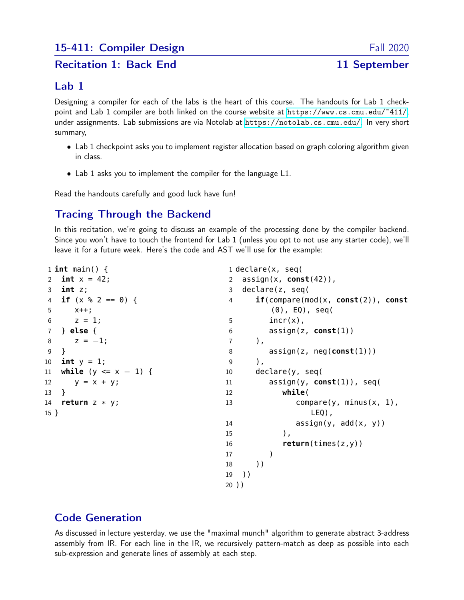#### Recitation 1: Back End
11 September

### Lab 1

Designing a compiler for each of the labs is the heart of this course. The handouts for Lab 1 checkpoint and Lab 1 compiler are both linked on the course website at <https://www.cs.cmu.edu/~411/>, under assignments. Lab submissions are via Notolab at <https://notolab.cs.cmu.edu/>. In very short summary,

- Lab 1 checkpoint asks you to implement register allocation based on graph coloring algorithm given in class.
- Lab 1 asks you to implement the compiler for the language L1.

Read the handouts carefully and good luck have fun!

# Tracing Through the Backend

In this recitation, we're going to discuss an example of the processing done by the compiler backend. Since you won't have to touch the frontend for Lab 1 (unless you opt to not use any starter code), we'll leave it for a future week. Here's the code and AST we'll use for the example:

```
1 int main() {
2 int x = 42;
3 int z;
4 if (x % 2 == 0) {
5 x++;
6 z = 1;7 } else {
8 z = -1;
9 }
10 int y = 1;
11 while (y <= x − 1) {
12 y = x + y;13 }
14 return z * y;
15 }
                                    1 declare(x, seq(
                                    2 assign(x, const(42)),
                                    3 declare(z, seq(
                                    4 if(compare(mod(x, const(2)), const
                                            (0), EQ), seq(
                                    5 incr(x),
                                    6 assign(z, const(1))
                                    7 ),
                                    8 assign(z, neg(const(1)))
                                    9 ),
                                   10 declare(y, seq(
                                   11 assign(y, const(1)), seq(
                                   12 while(
                                   13 compare(y, minus(x, 1),
                                                    LEQ),
                                   14 \qquad \qquad \text{assign}(y, \text{ add}(x, y))15 ),
                                   16 return(times(z,y))
                                   17 )
                                   18 ))
                                   19 ))
                                   20 ))
```
## Code Generation

As discussed in lecture yesterday, we use the "maximal munch" algorithm to generate abstract 3-address assembly from IR. For each line in the IR, we recursively pattern-match as deep as possible into each sub-expression and generate lines of assembly at each step.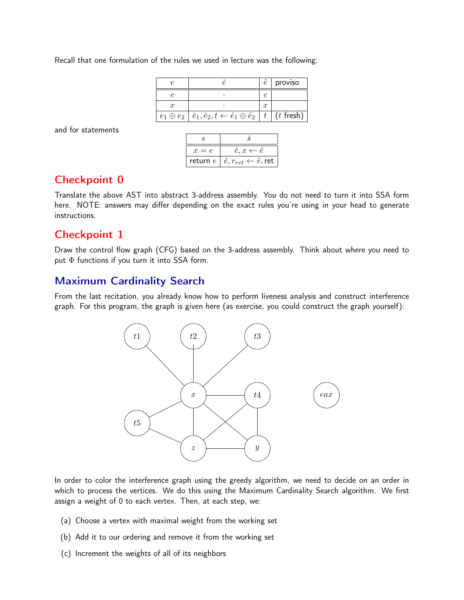Recall that one formulation of the rules we used in lecture was the following:

|                                                                                              |                  | proviso     |
|----------------------------------------------------------------------------------------------|------------------|-------------|
|                                                                                              |                  |             |
|                                                                                              | $\boldsymbol{x}$ |             |
| $e_1 \oplus e_2 \mid \check{e}_1, \check{e}_2, t \leftarrow \hat{e}_1 \oplus \hat{e}_2 \mid$ | $-t$ $\perp$     | $(t$ fresh) |

and for statements

| $x = e$    | $e, x \leftarrow \hat{e}$                             |  |  |
|------------|-------------------------------------------------------|--|--|
| return $e$ | $\check{e}, r_{ret} \leftarrow \hat{e}, \textsf{ret}$ |  |  |

#### Checkpoint 0

Translate the above AST into abstract 3-address assembly. You do not need to turn it into SSA form here. NOTE: answers may differ depending on the exact rules you're using in your head to generate instructions.

#### Checkpoint 1

Draw the control flow graph (CFG) based on the 3-address assembly. Think about where you need to put  $\Phi$  functions if you turn it into SSA form.

### Maximum Cardinality Search

From the last recitation, you already know how to perform liveness analysis and construct interference graph. For this program, the graph is given here (as exercise, you could construct the graph yourself):



In order to color the interference graph using the greedy algorithm, we need to decide on an order in which to process the vertices. We do this using the Maximum Cardinality Search algorithm. We first assign a weight of 0 to each vertex. Then, at each step, we:

- (a) Choose a vertex with maximal weight from the working set
- (b) Add it to our ordering and remove it from the working set
- (c) Increment the weights of all of its neighbors